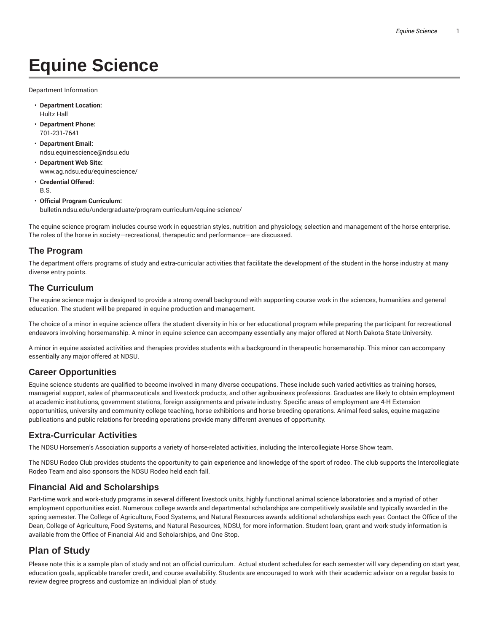# **Equine Science**

Department Information

- **Department Location:** Hultz Hall
- **Department Phone:** 701-231-7641
- **Department Email:** ndsu.equinescience@ndsu.edu
- **Department Web Site:** www.ag.ndsu.edu/equinescience/
- **Credential Offered:** B.S.
- **Official Program Curriculum:** bulletin.ndsu.edu/undergraduate/program-curriculum/equine-science/

The equine science program includes course work in equestrian styles, nutrition and physiology, selection and management of the horse enterprise. The roles of the horse in society—recreational, therapeutic and performance—are discussed.

#### **The Program**

The department offers programs of study and extra-curricular activities that facilitate the development of the student in the horse industry at many diverse entry points.

#### **The Curriculum**

The equine science major is designed to provide a strong overall background with supporting course work in the sciences, humanities and general education. The student will be prepared in equine production and management.

The choice of a minor in equine science offers the student diversity in his or her educational program while preparing the participant for recreational endeavors involving horsemanship. A minor in equine science can accompany essentially any major offered at North Dakota State University.

A minor in equine assisted activities and therapies provides students with a background in therapeutic horsemanship. This minor can accompany essentially any major offered at NDSU.

### **Career Opportunities**

Equine science students are qualified to become involved in many diverse occupations. These include such varied activities as training horses, managerial support, sales of pharmaceuticals and livestock products, and other agribusiness professions. Graduates are likely to obtain employment at academic institutions, government stations, foreign assignments and private industry. Specific areas of employment are 4-H Extension opportunities, university and community college teaching, horse exhibitions and horse breeding operations. Animal feed sales, equine magazine publications and public relations for breeding operations provide many different avenues of opportunity.

#### **Extra-Curricular Activities**

The NDSU Horsemen's Association supports a variety of horse-related activities, including the Intercollegiate Horse Show team.

The NDSU Rodeo Club provides students the opportunity to gain experience and knowledge of the sport of rodeo. The club supports the Intercollegiate Rodeo Team and also sponsors the NDSU Rodeo held each fall.

#### **Financial Aid and Scholarships**

Part-time work and work-study programs in several different livestock units, highly functional animal science laboratories and a myriad of other employment opportunities exist. Numerous college awards and departmental scholarships are competitively available and typically awarded in the spring semester. The College of Agriculture, Food Systems, and Natural Resources awards additional scholarships each year. Contact the Office of the Dean, College of Agriculture, Food Systems, and Natural Resources, NDSU, for more information. Student loan, grant and work-study information is available from the Office of Financial Aid and Scholarships, and One Stop.

## **Plan of Study**

Please note this is a sample plan of study and not an official curriculum. Actual student schedules for each semester will vary depending on start year, education goals, applicable transfer credit, and course availability. Students are encouraged to work with their academic advisor on a regular basis to review degree progress and customize an individual plan of study.